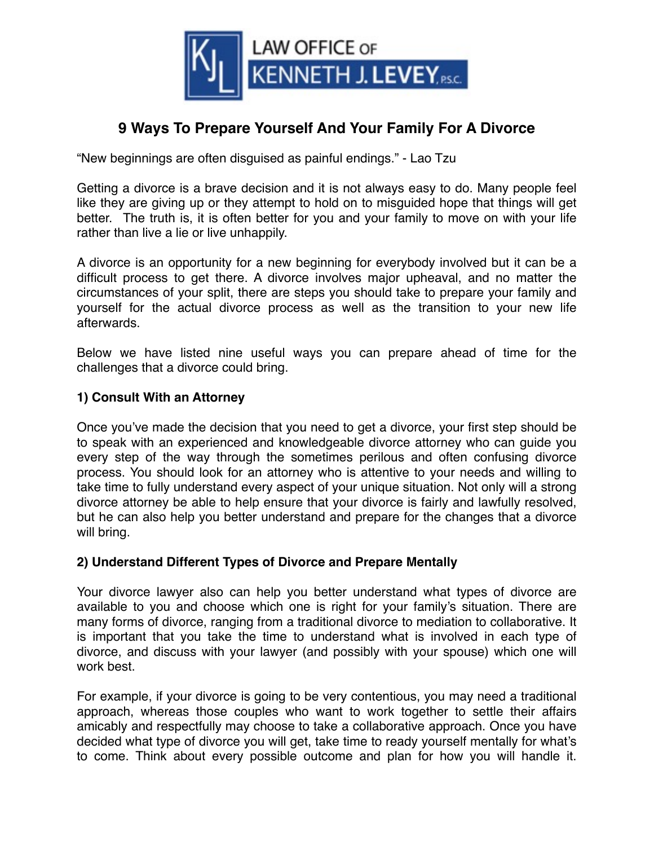

# **9 Ways To Prepare Yourself And Your Family For A Divorce**

"New beginnings are often disguised as painful endings." - Lao Tzu

Getting a divorce is a brave decision and it is not always easy to do. Many people feel like they are giving up or they attempt to hold on to misguided hope that things will get better. The truth is, it is often better for you and your family to move on with your life rather than live a lie or live unhappily.

A divorce is an opportunity for a new beginning for everybody involved but it can be a difficult process to get there. A divorce involves major upheaval, and no matter the circumstances of your split, there are steps you should take to prepare your family and yourself for the actual divorce process as well as the transition to your new life afterwards.

Below we have listed nine useful ways you can prepare ahead of time for the challenges that a divorce could bring.

### **1) Consult With an Attorney**

Once you've made the decision that you need to get a divorce, your first step should be to speak with an experienced and knowledgeable divorce attorney who can guide you every step of the way through the sometimes perilous and often confusing divorce process. You should look for an attorney who is attentive to your needs and willing to take time to fully understand every aspect of your unique situation. Not only will a strong divorce attorney be able to help ensure that your divorce is fairly and lawfully resolved, but he can also help you better understand and prepare for the changes that a divorce will bring.

### **2) Understand Different Types of Divorce and Prepare Mentally**

Your divorce lawyer also can help you better understand what types of divorce are available to you and choose which one is right for your family's situation. There are many forms of divorce, ranging from a traditional divorce to mediation to collaborative. It is important that you take the time to understand what is involved in each type of divorce, and discuss with your lawyer (and possibly with your spouse) which one will work best.

For example, if your divorce is going to be very contentious, you may need a traditional approach, whereas those couples who want to work together to settle their affairs amicably and respectfully may choose to take a collaborative approach. Once you have decided what type of divorce you will get, take time to ready yourself mentally for what's to come. Think about every possible outcome and plan for how you will handle it.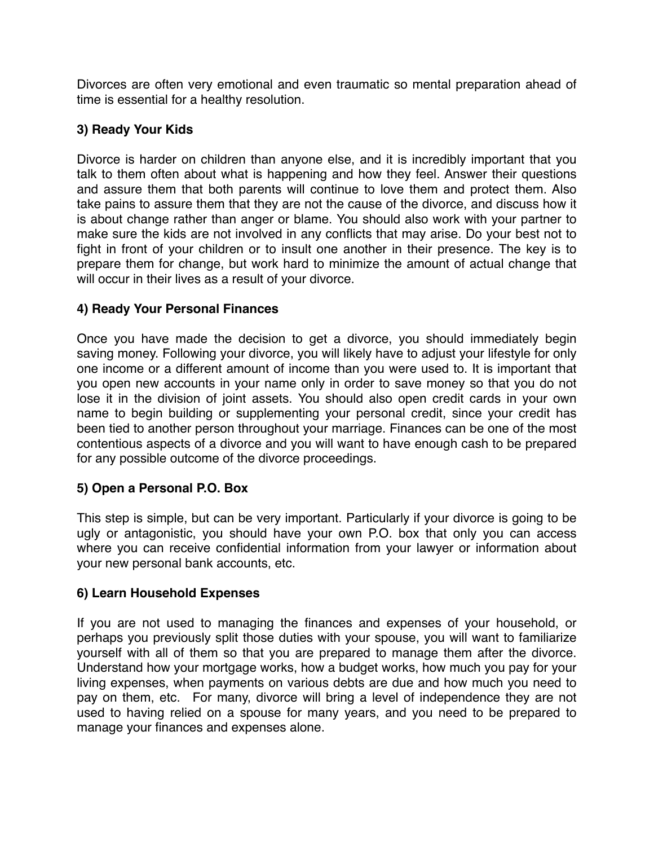Divorces are often very emotional and even traumatic so mental preparation ahead of time is essential for a healthy resolution.

# **3) Ready Your Kids**

Divorce is harder on children than anyone else, and it is incredibly important that you talk to them often about what is happening and how they feel. Answer their questions and assure them that both parents will continue to love them and protect them. Also take pains to assure them that they are not the cause of the divorce, and discuss how it is about change rather than anger or blame. You should also work with your partner to make sure the kids are not involved in any conflicts that may arise. Do your best not to fight in front of your children or to insult one another in their presence. The key is to prepare them for change, but work hard to minimize the amount of actual change that will occur in their lives as a result of your divorce.

# **4) Ready Your Personal Finances**

Once you have made the decision to get a divorce, you should immediately begin saving money. Following your divorce, you will likely have to adjust your lifestyle for only one income or a different amount of income than you were used to. It is important that you open new accounts in your name only in order to save money so that you do not lose it in the division of joint assets. You should also open credit cards in your own name to begin building or supplementing your personal credit, since your credit has been tied to another person throughout your marriage. Finances can be one of the most contentious aspects of a divorce and you will want to have enough cash to be prepared for any possible outcome of the divorce proceedings.

# **5) Open a Personal P.O. Box**

This step is simple, but can be very important. Particularly if your divorce is going to be ugly or antagonistic, you should have your own P.O. box that only you can access where you can receive confidential information from your lawyer or information about your new personal bank accounts, etc.

# **6) Learn Household Expenses**

If you are not used to managing the finances and expenses of your household, or perhaps you previously split those duties with your spouse, you will want to familiarize yourself with all of them so that you are prepared to manage them after the divorce. Understand how your mortgage works, how a budget works, how much you pay for your living expenses, when payments on various debts are due and how much you need to pay on them, etc. For many, divorce will bring a level of independence they are not used to having relied on a spouse for many years, and you need to be prepared to manage your finances and expenses alone.